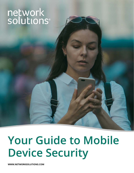# network<br>solutions®



# **Your Guide to Mobile Device Security**

**[WWW.NETWORKSOLUTIONS.COM](https://www.networksolutions.com)**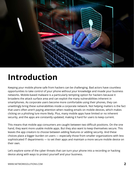

### **Introduction**

Keeping your mobile phone safe from hackers can be challenging. Bad actors have countless opportunities to take control of your phone without your knowledge and invade your business networks. Mobile-based malware is a particularly tempting option for hackers because it broadens the attack surface area and can exploit the many vulnerabilities inherent in smartphones. As corporate users become more comfortable using their phones, they can unwittingly bring these vulnerabilities inside a corporate network. Not helping matters is the fact that users often aren't paying attention when reading emails on mobile devices, which makes clicking on a phishing lure more likely. Plus, many mobile apps have limited or no inherent security, and the apps are constantly updated, making it hard for users to keep current.

This means that mobile app consumers are caught between two difficult positions. On the one hand, they want more usable mobile apps. But they also want to keep themselves secure. This leaves the app creators to choose between adding features or adding security. And these choices place a bigger burden on users — especially those from smaller organizations with less sophisticated IT departments — to vet their apps and maintain a more secure mobile device on their own.

Let's explore some of the cyber threats that can turn your phone into a recording or hacking device along with ways to protect yourself and your business.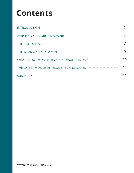# **Contents**

| <b>INTRODUCTION</b>                          |  |
|----------------------------------------------|--|
|                                              |  |
| THE RISE OF BYOD                             |  |
| THE WEAKNESSES OF A VPN                      |  |
| WHAT ABOUT MOBILE DEVICE MANAGERS (MDMS)?    |  |
| THE LATEST MOBILE DEFENSIVE TECHNOLOGIES<br> |  |
| <b>SUMMARY</b>                               |  |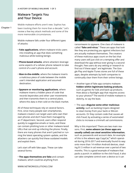**A HISTORY OF MOBILE MALWARE 1 OF 3**

#### **Malware Targets You and Your Device**

**Chapter 1**

Mobile malware efforts aren't new. Sophos has been tracking them for more than a decade.<sup>1</sup> Let's review a few key attack methods and some of the more memorable circumstances.

Mobile malware falls under four different types of attacks:

- **Fake applications**, where malware tricks users into installing an app that does something malicious while looking benign.
- **Phone-based attacks**, where attackers leverage some aspects of a cellular phone network to take control of a user's phone and account.
- **Man-in-the-middle**, where the malware inserts a malicious piece of code between the mobile user's intended application and assumed destination.
- **Spyware or monitoring applications**, where malware inserts a hidden piece of code that records keystrokes and other user movements and then transmits them to a central place, where this data is then sold on the black market.

All of these techniques rely on several factors. First, since many people own smartphones, malware creators can target users who own their own phones and don't have them managed by an IT department. Second, users often respond quickly to suggestive emails or texts, and these can contain phishing lures or other malware-laced URLs that can end up infecting the phone. Finally, there are many phones that aren't patched or running the latest operating system update, and the attackers can quickly find these outdated models and exploit them.

Let's start off with fake apps. These can take several forms:

• **The apps themselves are fake** and contain malware, which could be anything from



ransomware to spyware. One class of malware is called "**fake anti-virus**." These are apps that look like they are protecting you against infections but are actually malware themselves. The creators of these malicious apps count on the fact that many users will just click on a tempting offer and download the app without ever giving it a second thought. Few users do any vetting or research to find out if these apps<sup>2</sup> are legitimate. The Google Play and Apple iTunes stores are full of these apps, despite attempts by both companies to continually clear them from their online listings.

- Another type of fake app contains malware **hidden within legitimate-looking products**, such as games for kids and back-up products. How about a flashlight app that requires access to your photos?<sup>3</sup> The world of mobile malware is sketchy, to say the least.
- The apps **disguise some other malicious activity**, such as banking trojans designed to steal money from your bank or Bitcoin accounts. Or they contain code that causes ad click fraud, by activating a series of automated clicks to increase a criminal's ad commissions.

Why is this important? There are two main reasons. First, **some adware (as these apps are usually called) can steal sensitive information**, such as passwords and account data. An example of this is the adware app CopyCat,<sup>4</sup> which operated during 2016-2017 and eventually found its way onto more than 14 million Android devices, stealing \$1.5 million in ad revenue over a period of two months. This is a good example of malware that packs a punch: in addition to the click fraud, it also can take complete control over a device so it can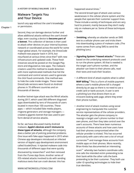#### **Malware Targets You and Your Device**

launch any app without the user's knowledge

or permission. **Chapter 1**

Second, they can damage devices further and allow additional attacks without the user's knowledge, even causing a device to **become part of a botnet**. This collection of devices is then used to attack other devices on your internal business network or coordinated across the world for some major global attack. For example, the DressCode malware was popular back in 2016, but resurfaced at various times since then<sup>5</sup> with new infrastructure and updated code. These fresh instances would be posted on the Google Play store and disguised as new apps. The malware creators used this method to evade detection with more sophisticated methods that hid the command and control servers used to generate the click fraud commands. One method was to hide the code inside images. These newer DressCode versions were found on Android phones in 70 different countries and on thousands of devices.

Another botnet-type attack was the WireX attacks during 2017, which used 300 different disguised apps downloaded by tens of thousands of users located in more than 100 countries. These apps — which included fake media players, ringtone generators and storage managers created a gigantic botnet that was used to perform denial-of-service attacks.

So far, we have discussed mainly Android malware. **Apple's devices aren't immune to these types of attacks**, although the company does a better job of policing potential problems. One issue with fake apps happened in 2015 when Chinese app developers introduced an infected version of Apple's app development environment called XcodeGhost. It injected malware code into thousands of different apps that were quickly discovered by researchers<sup>6</sup> and then removed from the iTunes App Store. Another series of iOS-related attacks involved to do with sending malicious texts that can crash devices: this has

happened several times.<sup>7</sup>

The second broad type of attack uses various weaknesses in the cellular phone system and the people that operate their customer support lines. These include a variety of techniques and are very hard to prevent, mainly because they don't really rely on malware *per se*. Some of these techniques include:

- **Smishing**, whereby an attacker sends an SMS text to a cellular phone user and tricks them into downloading a piece of malware code. (The name comes from using SMS to send the phishing lure.)
- **Signaling System 7-based attacks**. 8 These are based on the underlying network protocols used to run the phone system. All that is needed is the target user's phone number, and the attacker can listen to their phone calls, read their texts and track their location.
- A different kind of attack exploits what is called **WAP billing**. 9 This is a form of mobile payment where a user's mobile phone bill is charged directly by an app so there is no need to use a credit card or bank account. A user is sent a phishing lure that directs them to an innocent-looking web page, where they enter their phone number.
- Another kind of attack involves using social engineering to manipulate the customer service representatives of the cellular providers. The attacker gets the phone company to reassign a target user's phone number to their own phone, and then they take control over the user's accounts. There have been numerous accounts of these attacks and how users have had their phones compromised when the cellular provider is tricked. This has occurred particularly with users who own a lot of virtual currencies<sup>10</sup> and manage these accounts from mobile apps on their phones. More recently, Brian Krebs has documented an interesting scam<sup>11</sup> whereby two hackers coordinate calls: one calls the intended victim pretending to be their bank while the other calls the bank pretending to be their customer. They both use caller ID spoofing technologies to hide their true identities.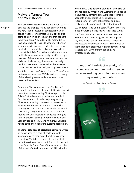**A HISTORY OF MOBILE MALWARE 3 OF 3**

#### **Malware Targets You and Your Device**

**Chapter 1**

Next are **MITM attacks**. These are harder to track because the changes to any app on your phone are very subtle. Instead of connecting to your bank's website, for example, you might end up going to a phishing or copycat site that appears to be your bank. A popular MITM method is to take advantage of cross-site scripting, where an attacker injects malicious code into a web page, thanks to credential theft allowing access to its code. While this isn't strictly a mobile-only attack, mobile browser users can easily be affected by it because of their smaller screens and tendencies while mobile browsing. These attacks usually result in stolen user credentials with more dire consequences. Back in 2017, security researchers identified more than 70 apps $12$  in the iTunes Store that were vulnerable to MITM attacks, with many of them leaving sensitive data exposed to be harvested by hackers.

Another MITM example was the BlueBorne<sup>13</sup> attack. It used a series of vulnerabilities to connect to another device running Bluetooth protocols. This isn't strictly a mobile malware example; in fact, this attack could infect anything running Bluetooth, including home control devices such as Google Home and Amazon Echo as well as ordinary PCs and laptops. What made this attack particularly dangerous was the fact that it didn't require any user interaction or device configuration. An attacker could gain remote control over user devices as a result, and numerous vendors had to patch their operating systems accordingly.

**The final category of attacks is spyware**, where an app is used to record all sorts of private information and then send it back to a central repository. That data is then sold on the black market to criminals who use it for credit card and other financial fraud. One of the worst examples of this kind of attack happened in 2016, with the

Android BLU (the acronym stands for Bold Like Us) phones sold by Amazon and Walmart. The phones inadvertently contained malware that recorded user data and sent it to Chinese hackers. After a series of technical missteps and legal challenges, the company finally settled with the U.S. Federal Trade Commission.<sup>14</sup> A more current piece of Android-based malware is called Eventbot,<sup>15</sup> which was discovered in March 2020. It is a combination of banking Trojan, fake app and spyware, which can be very potent. It leverages the accessibility services to bypass SMS-based authentications to steal your login credentials. It has targeted over 200 different banking and cryptocurrency apps.

...much of the de facto security of a company comes from having people who are making good decisions when they're using computers.

CC

— Dan Woods, Early Adopter Research

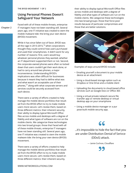**Chapter 2**

#### **Using Personal Phones Doesn't Safeguard Your Network**

Faced with all of these mobile threats, enterprise IT managers have not been standing still. Several years ago, one IT initiative was created to stem the mobile malware tide: the bring your own device (BYOD) movement.

While it has since fallen out of favor, BYOD was all the rage in 2013-2015, $16$  when corporations thought they could control how users purchased and used their smartphones. It didn't work for any number of reasons: first, users would buy whatever personal phones they wanted, whether an IT department supported them or not. Second, the corporate-owned phones were often so locked down that users couldn't get their work done, or had to carry around two phones, a major inconvenience. Understanding BYOD's implications was often difficult for businesses because it meant they had to define what was and what wasn't an acceptable use of their phones,17 along with what corporate servers and services could be securely accessed from each device.

There were a variety of efforts created to help manage the mobile device portfolios that resulted from the BYOD effort to try to make mobile users more secure. Let's review them, based on three different metrics: their inherent security, their ability to display typical Microsoft Office files across mobile and desktops with a degree of fidelity and what types of software are run on the mobile clients. We categorize these technologies into two broad groups: those that Faced with all of these mobile threats, enterprise IT managers have not been standing still. Several years ago, one IT initiative was created to stem the mobile malware tide: the bring your own device (BYOD) movement.

There were a variety of efforts created to help manage the mobile device portfolios that resulted from the BYOD effort to try to make mobile users more secure. Let's review them, based on three different metrics: their inherent security,

their ability to display typical Microsoft Office files across mobile and desktops with a degree of fidelity and what types of software are run on the mobile clients. We categorize these technologies into two broad groups: those that force poor results because of particular compromises and those that are better solutions.



Examples of ways around BYOD include:

- Emailing yourself a document to your mobile device as an attachment
- Using a cloud-based storage option such as Dropbox or One Drive and a mobile client
- Uploading the documents to cloud-based office services such as Google Docs or Office 365
- Using a virtual private network secure file transfer app or remote desktop or virtual desktop app on your smartphone
- Using a mobile device manager or a pur pose-built mobile security app.

#### 66

...it's impossible to hide the fact that you are under Distribution Denial of Serivce (DDoS) attack.

— Jamie Cochran, Cloudflare

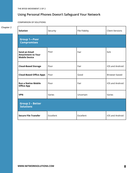**THE BYOD MOVEMENT 2 OF 2**

#### **Using Personal Phones Doesn't Safeguard Your Network**

**COMPARISON OF SOLUTIONS:**

| Chapter 2 | Solution                                                           | Security  | File Fidelity | <b>Client Versions</b> |  |
|-----------|--------------------------------------------------------------------|-----------|---------------|------------------------|--|
|           | <b>Group 1-Poor</b><br><b>Compromises</b>                          |           |               |                        |  |
|           | Send an Email<br><b>Attachment to Your</b><br><b>Mobile Device</b> | Poor      | Fair          | N/A                    |  |
|           | <b>Cloud-Based Storage</b>                                         | Poor      | Fair          | iOS and Android        |  |
|           | <b>Cloud-Based Office Apps</b>                                     | Poor      | Good          | Browser-based          |  |
|           | <b>Run a Native Mobile</b><br><b>Office App</b>                    | Poor      | Fair          | iOS and Android        |  |
|           | <b>VPN</b>                                                         | Varies    | Uncertain     | Varies                 |  |
|           | <b>Group 2 - Better</b><br><b>Solutions</b>                        |           |               |                        |  |
|           | <b>Secure File Transfer</b>                                        | Excellent | Excellent     | iOS and Android        |  |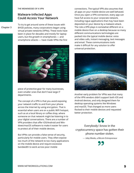#### **Malware-Infected Apps Could Access Your Network**

**Chapter 3**

To try to get around some of these issues with BYOD policies, many corporations began using virtual private networks (VPNs). These tools have been in place for decades and mostly for laptop users, but the growth in smartphones — and smartphone attacks — have made VPNs the first



piece of protective gear for many businesses, even smaller ones that don't have large IT departments.

The concept of a VPN is that you avoid exposing your network traffic to and from your phone across the Internet by using encryption. That is essential when users are on a public WiFi hotspot, such as at a local library or coffee shop, where someone on that network might be listening in to your digital conversations. There are a number of VPN providers that offer iOS/Android and Windows/macOS software to make it easier for users to protect all of their mobile devices.

But VPNs can provide a false sense of security, particularly for mobile users. They often expose too much of the network to too many applications on the mobile device and require excessive bandwidth to work across poor mobile

connections. The typical VPN also assumes that all apps on your mobile device are well behaved. Once you open a VPN connection, every app can have full access to your corporate network, including rogue applications that may have been deposited on your device by a malware attack. The role a VPN plays is somewhat different on a mobile device than on a desktop because so many different communications technologies are packed into the typical mobile device: voice and video calls, instant messaging, text messages and email. These communications tools make it difficult for any solution to offer universal protection.



Another early problem for VPNs was that many of the VPN vendors didn't support both iOS and Android devices, and only designed them for desktop operating systems like Windows and macOS. That changed as more users flocked to their mobile devices and requested better protection.

#### $66$

Everybody I know in the cryptocurrency space has gotten their phone number stolen.

— Joby Weeks, a Bitcoin Entrepreneur

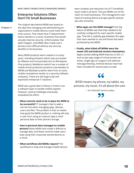**WHAT ABOUT MOBILE DEVICE MANAGERS (MDMS)?**

#### **Enterprise Solutions Often Don't Fit Small Businesses**

**Chapter 4**

The original idea behind MDM was based on the idea that managing and administering an organization's mobile devices could make them more secure. That meant that IT departments had to decide on a series of policies that would actually improve security. Unfortunately, that didn't happen, and MDM often made user's phones more difficult without any security benefits to the business.

Many MDM products were created in its early years, including Airwatch (which was purchased by VMware and incorporated into its Workspace One product), MobileIron (which has a number of mobile threat protection products now besides its MDM) and Blackberry (which went from an early mobile smartphone vendor to a security software company). These are still large-scale and expensive enterprise IT solutions.

MDM was a good idea in theory; it tried to use a software layer to handle mobile exploits. However, several challenges eventually torpedoed the effort:

- **What controls need to be in place for MDM to be successful?** IT managers had to walk a narrow line when managing apps, devices, users and files. The problem is that no matter how good the MDM product is, nothing will stop a user from using an insecure app to send personal data to their phone's storage.
- **How is personal data managed on mobile devices?** Many MDM tools made it difficult to manage data, and these controls made users stop using their corporate-owned devices as a result.
- **What workflows did MDMs require?** The workflows to map and manage mobile devices

were complex and required a lot of IT handholding to make it all work. This put MDMs out of the reach of small businesses. The management overhead of tracking device and app-specific policies was also immense.

- **What apps can the MDM manage?** One big failure of MDMs was that they needed to be carefully configured for each specific mobile app. That left a usability gap between the apps that users wanted to use and those that were protected by the MDM.
- **Finally, what killed off MDMs were the newer iOS and Android versions themselves.** Apple started adding MDM features to iOS v.7, such as per-app usage of virtual private net works, single sign-on support and selective message blocking. Android devices have had them included for several years as well.

66

BYOD means my phone, my tablet, my pictures, my music. It's all about the user.

— Eric Maiwald, Gartner analyst

77

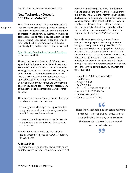**THE LATEST MOBILE DEFENSIVE TECHNOLOGIES**

#### **New Technology Detects and Blocks Malware**

**Chapter 5**

These limitations of both VPNs and MDMs don't mean that they aren't useful protective technologies: on the contrary, they still form the backbone of protection used by many business networks to secure remote and mobile devices. But in the past several years, the focus has shifted to a series of new tools. The first is a new class of products specifically designed to reside on the device itself.

#### [Cyber Security Solution from Network Solutions](https://www.networksolutions.com/security/small-business-cyber-security) is one such product.

These solutions take the form of iOS or Android apps that fit in between an MDM and a security event analyzer that is used on the network level. They typically use a web interface to manage your entire mobile collection. You will still need an actual MDM if you want to whitelist your custom applications, provide segregated work and personal environments, remediate any malware on your device and control network access. Many of the above apps integrate with MDMs for this purpose.

These apps have other features that are looking at the behavior of potential malware:

- Running your device's apps through a "sandbox" or a protected environment to analyze whether it exhibits any suspicious behaviors.
- Advanced code flow analysis to look for evasive maneuvers or specific malware clues such as MITM attacks.
- Reputation management and the ability to gather threat intelligence about what is running on your device.

#### **A Better DNS**

In addition to using one of the above tools, another defensive technology is to substitute a different domain name server (DNS) entry. This is one of the easiest and simplest ways to protect your mobile device. The DNS is the Internet's phone book; it allows you to look up a URL and other resources by using names rather than the Internet Protocol numbers. In the overall Internet infrastructure, there are a variety of public, semi-public and private providers who maintain the "master" series of phone books, known as DNS root servers.

Normally, when you set up your mobile device, you don't give your DNS settings a second thought. Usually, these settings are filled in for you by your device's operating system. But there are a number of alternate DNS entries that offer certain benefits, such as the ability to block spam, filter content (such as adult sites) and malware and allow for speedier performance with those lookups. There are numerous companies that now offer these DNS alternatives, many of which are freely available:

- Cloudflare's 1.1.1.1 and Warp VPN
- Level 3 4.2.2.1
- Google's 8.8.8.8
- Quad9 9.9.9.9
- Cisco's OpenDNS 208.67.222.222
- Norton DNS 199.85.126.20
- Yandex DNS 77.88.8.7
- Comodo DNS 8.26.56.26

#### $66$

These (new) technologies can sense malware and block it from operating, or quarantine an app that has too many permissions or that connects to known bad command and control websites.

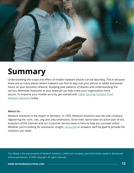

## **Summary**

Understanding the scope and effect of mobile malware attacks can be daunting. This is because there are so many places where malware can find its way into your phone or tablet and wreak havoc on your business network. Studying past patterns of attacks and understanding the various defensive measures at your disposal can help make your organization more secure. To improve your mobile security, get started with Cyber Security Solution from [Network Solutions](https://www.networksolutions.com/security/small-business-cyber-security) today.

#### **About Us**

Network Solutions is the expert in domains. In 1993, Network Solutions was the sole company registering the .com, .net, .org and .edu extensions. Since then, we've been an active part of the evolution of the Internet and our Customer Service team is here to help you succeed online. Whether you're looking for assistance, insight, [resources](https://www.networksolutions.com/dms/offers/partner2.jsp) or answers, we'll be glad to provide the solutions you need.

This eBook is the sole property of Network Solutions, a Web.com company, and shall not be copied or distributed without permission. © 2020 Copyright. All rights reserved.